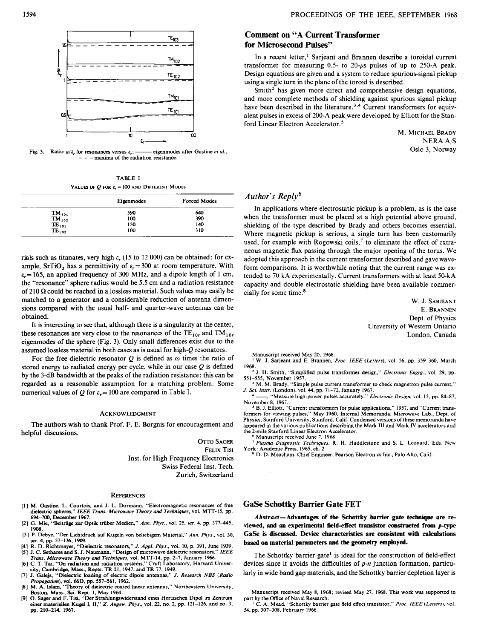

Fig. 3. Ratio  $a/\lambda$ , for resonances versus  $\varepsilon$ ,; — eigenmodes after Gastine *et al.*, - maxima of the radiation resistance.

TABLE I **VALUES OF**  $Q$  **FOR**  $\varepsilon$ **, = 100 AND DIFFERENT MODES** 

|                     | Eigenmodes | Forced Modes |
|---------------------|------------|--------------|
| $TM_{101}$          | 590        | 640          |
| $TM_{102}$          | 100        | 390          |
| $\mathbf{TE_{101}}$ | 150        | 140          |
| $TE_{102}$          | 100        | 310          |

rials such **as** titanates, very **high** *E,* **(15** to 12 OOO) can be obtained; for example, SrTiO<sub>3</sub> has a permittivity of  $\varepsilon_r = 300$  at room temperature. With  $\varepsilon_r = 165$ , an applied frequency of 300 MHz, and a dipole length of 1 cm, the "resonance" sphere radius would be **5.5** *cm* and a radiation resistance of  $210 \Omega$  could be reached in a lossless material. Such values may easily be matched to a generator and a considerable reduction of antenna dimensions compared with the usual half- and quarter-wave antennas can be obtained.

It is interesting to *see* that, although there is a singularity at the center, these resonances are very close to the resonances of the  $TE_{10r}$  and  $TM_{10r}$ eigenmodes of the sphere (Fig. **3).** Only small differences exist due to the assumed lossless material in both cases as is usual for high-Q resonators.

For the free dielectric resonator  $Q$  is defined as  $\omega$  times the ratio of stored energy to radiated energy per cycle, while in our case  $Q$  is defined by the 3dB bandwidth at the peaks of the radiation resistance; this can be regarded **as** a reasonable assumption for a matching problem. Some numerical values of Q for  $\varepsilon = 100$  are compared in Table I.

### **ACKNOWLEDGMENT**

The authors wish to thank Prof. F. E. Borgnis for encouragement and helpful discussions.

> OTTO SAGER **FELIX TISI**  Inst. for High Frequency Electronics Swiss Federal Inst. Tech Zurich, Switzerland

#### **REFERENCES**

- [1] M. Gastine, L. Courtois, and J. L. Dormann, "Electromagnetic resonances of free dielectric spheres," *IEEE Trans. Microwave Theory and Techniques*, vol. MTT-15, pp. **694-700, Deaanber 1%7.**
- **[2]** *G.* **Mie,** "Beitfige *m* Optik triiber Medien," *AM. Phys.,* vol. **25, ser. 4, pp. 377-445, 1908.**
- **[31** P. Debye, **"Da** Lichtdruck auf Kugeln von beliebkgem Matenal." *Ann. Phys..* vol. **30, ser. 4,** pp. **57-136, 1909.**
- **[4]** R. D. Richtmaya, "Dielearic resonators," *J. Appl. Phys.,* vol. **10,** p. **391, June 1939. [SI J.** C. Setham **and S. J. Naumann,** "Design **of** microwave dielecui; resonators,'' *IEEE*
- **f 6** C. **T.** Tai, *"On radiation and reduition systems,"* Cruft Laboratory, Harvard Univer-<br> **[6]** C. **T.** Tai, "On radiation and radiation systems," Cruft Laboratory, Harvard Univer-<br>
sity, Cambridge, Mass., Repts. TR *Trans. Microwave Theory and Techniques, vol. MTT-14, pp. 2-7, January 1966*
- [71 **J. Galejs,** "Dielatrif loading of electric dipole antennas," *J. Research NBS (Rdio*
- **Propagation), vol. 66D, pp. 557-561, 1962.**<br>[8] M. A. Islam, "Theory of dielectric coated linear antennas," Northeastern University, Boston, **Mas., Sci.** Rept. **I.** May **1964.**
- **191 0.** Sager and F. Tisi **"Der** Strahlungswiderstand eing Hertzschen Dlpol **Lm** Zentrum einer materiella **Kugel** I, **11,"** *Z. Angew. Phys.,* vol. **22,** no. **2,** pp. **121-126,** and **no. 3,**  pp. 210-214, 1967.

# **Comment on "A Current Transformer for Microsecond** Pulses''

In a recent letter,' Sarjeant and Brannen describe a toroidal current transformer for measuring  $0.5$ - to  $20$ - $\mu$ s pulses of up to 250-A peak. Design equations are given and a system to reduce spurious-signal pickup using a single turn in the plane of the toroid is described.

Smith<sup>2</sup> has given more direct and comprehensive design equations, and more complete methods of shielding against spurious signal pickup have been described in the literature.<sup>3,4</sup> Current transformers for equivalent pulses in excess of 200-A peak,were developed by Elliott for the Stanford Linear Electron Accelerator.'

> **M. MICHAEL BRADY** NERA A/S Oslo 3, Norway

# *Author's* **Reply6**

In applications where electrostatic pickup is a problem, as is the case when the transformer must be placed at a high potential above ground, shielding of the type described by Brady and others becomes essential. Where magnetic pickup is serious, a single turn has been customarily used, for example with Rogowski coils,<sup>7</sup> to eliminate the effect of extraneous magnetic **flux** passing through the major opening of the torus. We adopted this approach in the current transformer described and gave waveform comparisons. It is worthwhile noting that the current range was extended to **70 kA** experimentally. Current transformers with at least 50-kA capacity and double electrostatic shielding have been available commercially for some time.<sup>8</sup>

> W. J. SARJEANT E. BRANNEN Dept. of Physics University of Western Ontario London, Canada

Manuscript received May **20, 1968.** ' **W.** J. Sarjeant and **E.** Brannen, *Pruc. I€€€ (Lerrers),* vol. **56, pp. 359-360,** March **1968.** 

J. **H.** Smith, "Simplified pulse transformer design," *Electronic Engrg.,* vol. *29,* **pp. 551-555,** November **1957.** 

' **M. M.** Brady, "Simple pulse current transformer to check magnetron pulse current," *1. Sci. Insrr.* (London). vol. **44.** pp. 71-72. **Janualy 1967.** 

November 8, 1967.<br><sup>5</sup> B. J. Elliott, "Current transformers for pulse applications," 1957, and "Current trans-"Measure high-power pulses accurately," *Electronic Design*, vol. 15, pp. 84-87,

formers for viewing pulses," May 1960, Internal Memoranda, Microwave Lab., Dept. of<br>Physics, Stanford University, Stanford, Calif. Condensed versions of these memoranda have appeared in the various publications describing the Mark III and Mark **IV** accelerators and the 2-mile Stanford Linear Electron Accelerator. Manuscript received June **7. 19f4** 

**York:** Academic Press, **1965,** ch. **2. D. D.** Meachm, Chief Engineer, Pearson Electronics **IN.,** Palo Alto, Calif. ' *Plusmu Dlugnusrrc Techniques,* **R.** H. Huddlestone and **S.** L. Leonard. **tdr.** New

## **GaSe Schottky Barrier Gate FET**

**Abstruct-Advantages of the Scbottky barrier gate technique are reviewed, and m experimental kld-effect tramistor** *comtmcted* **from p-type**  GaSe is discussed. Device characteristics are consistent with calculations **based on material parameters and the geometry employed.** 

The Schottky barrier gate<sup>1</sup> is ideal for the construction of field-effect devices since it avoids the difficulties of  $p$ -n junction formation, particularly in wide band gap materials, and the Schottky barrier depletion layer is

Manuscript received May **8, 1968;** revised May **27, 1968. ll~lhe** work was supported in

**Part by the Office of Naval Research.**<br><sup>1</sup> C. A. Mead, "Schottky barrier gate field effect transistor," *Proc. IEEE* (*Letters*), vol. *54,* **pp. 307-308.** February **1966.**